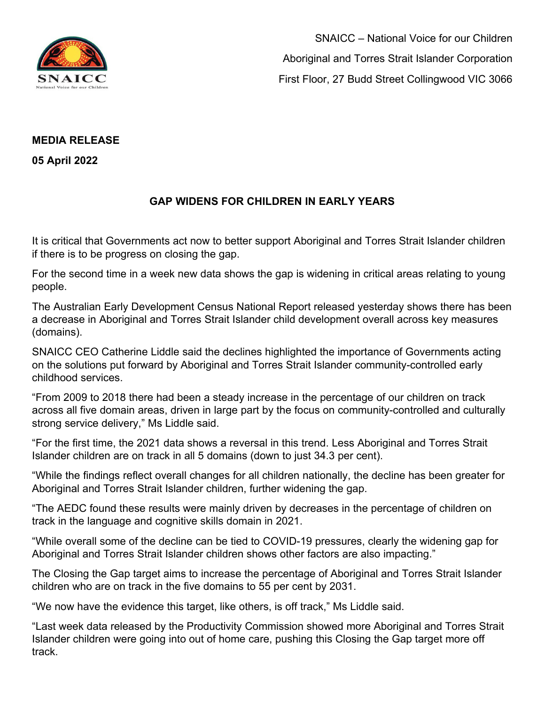

SNAICC – National Voice for our Children Aboriginal and Torres Strait Islander Corporation First Floor, 27 Budd Street Collingwood VIC 3066

## **MEDIA RELEASE**

**05 April 2022** 

## **GAP WIDENS FOR CHILDREN IN EARLY YEARS**

It is critical that Governments act now to better support Aboriginal and Torres Strait Islander children if there is to be progress on closing the gap.

For the second time in a week new data shows the gap is widening in critical areas relating to young people.

The Australian Early Development Census National Report released yesterday shows there has been a decrease in Aboriginal and Torres Strait Islander child development overall across key measures (domains).

SNAICC CEO Catherine Liddle said the declines highlighted the importance of Governments acting on the solutions put forward by Aboriginal and Torres Strait Islander community-controlled early childhood services.

"From 2009 to 2018 there had been a steady increase in the percentage of our children on track across all five domain areas, driven in large part by the focus on community-controlled and culturally strong service delivery," Ms Liddle said.

"For the first time, the 2021 data shows a reversal in this trend. Less Aboriginal and Torres Strait Islander children are on track in all 5 domains (down to just 34.3 per cent).

"While the findings reflect overall changes for all children nationally, the decline has been greater for Aboriginal and Torres Strait Islander children, further widening the gap.

"The AEDC found these results were mainly driven by decreases in the percentage of children on track in the language and cognitive skills domain in 2021.

"While overall some of the decline can be tied to COVID-19 pressures, clearly the widening gap for Aboriginal and Torres Strait Islander children shows other factors are also impacting."

The Closing the Gap target aims to increase the percentage of Aboriginal and Torres Strait Islander children who are on track in the five domains to 55 per cent by 2031.

"We now have the evidence this target, like others, is off track," Ms Liddle said.

"Last week data released by the Productivity Commission showed more Aboriginal and Torres Strait Islander children were going into out of home care, pushing this Closing the Gap target more off track.